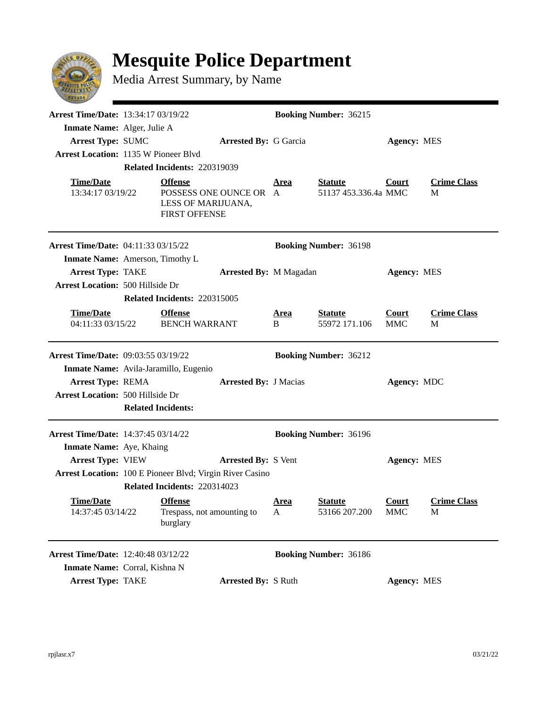## **Mesquite Police Department**

Media Arrest Summary, by Name

| <b>Arrest Time/Date: 13:34:17 03/19/22</b>               |                                                                      |                               |                  | <b>Booking Number: 36215</b>    |                     |                         |
|----------------------------------------------------------|----------------------------------------------------------------------|-------------------------------|------------------|---------------------------------|---------------------|-------------------------|
| Inmate Name: Alger, Julie A                              |                                                                      |                               |                  |                                 |                     |                         |
| <b>Arrest Type: SUMC</b>                                 |                                                                      | <b>Arrested By: G Garcia</b>  |                  |                                 | <b>Agency: MES</b>  |                         |
| <b>Arrest Location: 1135 W Pioneer Blvd</b>              |                                                                      |                               |                  |                                 |                     |                         |
|                                                          | Related Incidents: 220319039                                         |                               |                  |                                 |                     |                         |
| <b>Time/Date</b>                                         | <b>Offense</b>                                                       |                               | Area             | <b>Statute</b>                  | Court               | <b>Crime Class</b>      |
| 13:34:17 03/19/22                                        | POSSESS ONE OUNCE OR A<br>LESS OF MARIJUANA,<br><b>FIRST OFFENSE</b> |                               |                  | 51137 453.336.4a MMC            |                     | M                       |
| <b>Arrest Time/Date: 04:11:33 03/15/22</b>               |                                                                      |                               |                  | <b>Booking Number: 36198</b>    |                     |                         |
| <b>Inmate Name:</b> Amerson, Timothy L                   |                                                                      |                               |                  |                                 |                     |                         |
| <b>Arrest Type: TAKE</b>                                 |                                                                      | <b>Arrested By: M Magadan</b> |                  |                                 | <b>Agency: MES</b>  |                         |
| <b>Arrest Location: 500 Hillside Dr</b>                  |                                                                      |                               |                  |                                 |                     |                         |
|                                                          | Related Incidents: 220315005                                         |                               |                  |                                 |                     |                         |
| <b>Time/Date</b><br>04:11:33 03/15/22                    | <b>Offense</b><br><b>BENCH WARRANT</b>                               |                               | <b>Area</b><br>B | <b>Statute</b><br>55972 171.106 | Court<br><b>MMC</b> | <b>Crime Class</b><br>М |
| <b>Arrest Time/Date: 09:03:55 03/19/22</b>               |                                                                      |                               |                  | <b>Booking Number: 36212</b>    |                     |                         |
|                                                          | Inmate Name: Avila-Jaramillo, Eugenio                                |                               |                  |                                 |                     |                         |
|                                                          |                                                                      |                               |                  |                                 |                     |                         |
| <b>Arrest Type: REMA</b>                                 |                                                                      | <b>Arrested By: J Macias</b>  |                  |                                 | Agency: MDC         |                         |
| <b>Arrest Location: 500 Hillside Dr</b>                  |                                                                      |                               |                  |                                 |                     |                         |
|                                                          | <b>Related Incidents:</b>                                            |                               |                  |                                 |                     |                         |
| <b>Arrest Time/Date: 14:37:45 03/14/22</b>               |                                                                      |                               |                  | <b>Booking Number: 36196</b>    |                     |                         |
| <b>Inmate Name:</b> Aye, Khaing                          |                                                                      |                               |                  |                                 |                     |                         |
| <b>Arrest Type: VIEW</b>                                 |                                                                      | <b>Arrested By: S Vent</b>    |                  |                                 | <b>Agency: MES</b>  |                         |
| Arrest Location: 100 E Pioneer Blvd; Virgin River Casino |                                                                      |                               |                  |                                 |                     |                         |
|                                                          | Related Incidents: 220314023                                         |                               |                  |                                 |                     |                         |
| <b>Time/Date</b><br>14:37:45 03/14/22                    | <b>Offense</b><br>Trespass, not amounting to<br>burglary             |                               | Area<br>A        | <b>Statute</b><br>53166 207.200 | Court<br><b>MMC</b> | <b>Crime Class</b><br>M |
| <b>Arrest Time/Date: 12:40:48 03/12/22</b>               |                                                                      |                               |                  | <b>Booking Number: 36186</b>    |                     |                         |
| Inmate Name: Corral, Kishna N                            |                                                                      |                               |                  |                                 |                     |                         |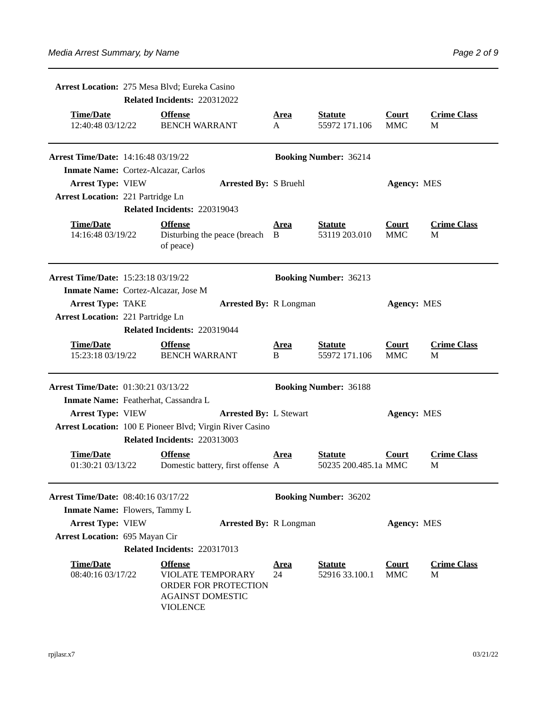|                                            | Arrest Location: 275 Mesa Blvd; Eureka Casino |                                                                                                           |                   |                                        |                            |                         |  |
|--------------------------------------------|-----------------------------------------------|-----------------------------------------------------------------------------------------------------------|-------------------|----------------------------------------|----------------------------|-------------------------|--|
|                                            |                                               | Related Incidents: 220312022                                                                              |                   |                                        |                            |                         |  |
| <b>Time/Date</b><br>12:40:48 03/12/22      |                                               | <b>Offense</b><br><b>BENCH WARRANT</b>                                                                    | <u>Area</u><br>A  | <b>Statute</b><br>55972 171.106        | <b>Court</b><br><b>MMC</b> | <b>Crime Class</b><br>M |  |
| <b>Arrest Time/Date: 14:16:48 03/19/22</b> |                                               |                                                                                                           |                   | <b>Booking Number: 36214</b>           |                            |                         |  |
| Inmate Name: Cortez-Alcazar, Carlos        |                                               |                                                                                                           |                   |                                        |                            |                         |  |
| <b>Arrest Type: VIEW</b>                   |                                               | <b>Arrested By: S Bruehl</b>                                                                              |                   |                                        | <b>Agency: MES</b>         |                         |  |
| <b>Arrest Location: 221 Partridge Ln</b>   |                                               |                                                                                                           |                   |                                        |                            |                         |  |
|                                            |                                               | Related Incidents: 220319043                                                                              |                   |                                        |                            |                         |  |
| <b>Time/Date</b><br>14:16:48 03/19/22      |                                               | <b>Offense</b><br>Disturbing the peace (breach B<br>of peace)                                             | <u>Area</u>       | <b>Statute</b><br>53119 203.010        | <b>Court</b><br><b>MMC</b> | <b>Crime Class</b><br>M |  |
| Arrest Time/Date: 15:23:18 03/19/22        |                                               |                                                                                                           |                   | <b>Booking Number: 36213</b>           |                            |                         |  |
| Inmate Name: Cortez-Alcazar, Jose M        |                                               |                                                                                                           |                   |                                        |                            |                         |  |
| <b>Arrest Type: TAKE</b>                   |                                               | <b>Arrested By: R Longman</b>                                                                             |                   |                                        | <b>Agency: MES</b>         |                         |  |
| <b>Arrest Location: 221 Partridge Ln</b>   |                                               |                                                                                                           |                   |                                        |                            |                         |  |
|                                            |                                               | Related Incidents: 220319044                                                                              |                   |                                        |                            |                         |  |
| <b>Time/Date</b><br>15:23:18 03/19/22      |                                               | <b>Offense</b><br><b>BENCH WARRANT</b>                                                                    | <u>Area</u><br>B  | <b>Statute</b><br>55972 171.106        | <b>Court</b><br><b>MMC</b> | <b>Crime Class</b><br>M |  |
| <b>Arrest Time/Date: 01:30:21 03/13/22</b> |                                               |                                                                                                           |                   | <b>Booking Number: 36188</b>           |                            |                         |  |
| Inmate Name: Featherhat, Cassandra L       |                                               |                                                                                                           |                   |                                        |                            |                         |  |
| <b>Arrest Type: VIEW</b>                   |                                               | <b>Arrested By: L Stewart</b>                                                                             |                   |                                        | <b>Agency: MES</b>         |                         |  |
|                                            |                                               | Arrest Location: 100 E Pioneer Blvd; Virgin River Casino                                                  |                   |                                        |                            |                         |  |
|                                            |                                               | Related Incidents: 220313003                                                                              |                   |                                        |                            |                         |  |
| <b>Time/Date</b><br>01:30:21 03/13/22      |                                               | <b>Offense</b><br>Domestic battery, first offense A                                                       | Area              | <b>Statute</b><br>50235 200.485.1a MMC | Court                      | <b>Crime Class</b><br>M |  |
| <b>Arrest Time/Date: 08:40:16 03/17/22</b> |                                               |                                                                                                           |                   | <b>Booking Number: 36202</b>           |                            |                         |  |
| Inmate Name: Flowers, Tammy L              |                                               |                                                                                                           |                   |                                        |                            |                         |  |
| <b>Arrest Type: VIEW</b>                   |                                               | <b>Arrested By: R Longman</b>                                                                             |                   |                                        | <b>Agency: MES</b>         |                         |  |
| <b>Arrest Location: 695 Mayan Cir</b>      |                                               |                                                                                                           |                   |                                        |                            |                         |  |
|                                            |                                               | Related Incidents: 220317013                                                                              |                   |                                        |                            |                         |  |
| <b>Time/Date</b><br>08:40:16 03/17/22      |                                               | <b>Offense</b><br>VIOLATE TEMPORARY<br>ORDER FOR PROTECTION<br><b>AGAINST DOMESTIC</b><br><b>VIOLENCE</b> | <u>Area</u><br>24 | <b>Statute</b><br>52916 33.100.1       | <b>Court</b><br><b>MMC</b> | <b>Crime Class</b><br>M |  |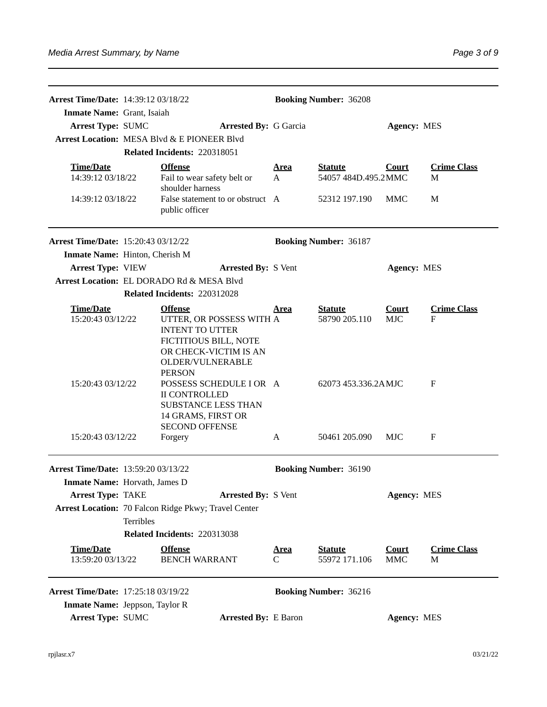| <b>Arrest Time/Date: 14:39:12 03/18/22</b>                                 |                  | <b>Booking Number: 36208</b>                                                                                                              |                  |                                 |                            |                         |
|----------------------------------------------------------------------------|------------------|-------------------------------------------------------------------------------------------------------------------------------------------|------------------|---------------------------------|----------------------------|-------------------------|
| Inmate Name: Grant, Isaiah                                                 |                  |                                                                                                                                           |                  |                                 |                            |                         |
| Arrest Type: SUMC                                                          |                  | <b>Arrested By: G Garcia</b>                                                                                                              |                  |                                 | <b>Agency: MES</b>         |                         |
|                                                                            |                  | Arrest Location: MESA Blvd & E PIONEER Blvd                                                                                               |                  |                                 |                            |                         |
|                                                                            |                  | Related Incidents: 220318051                                                                                                              |                  |                                 |                            |                         |
| <b>Time/Date</b>                                                           |                  | <b>Offense</b>                                                                                                                            | Area             | <b>Statute</b>                  | Court                      | <b>Crime Class</b>      |
| 14:39:12 03/18/22                                                          |                  | Fail to wear safety belt or                                                                                                               | A                | 54057 484D.495.2 MMC            |                            | M                       |
| 14:39:12 03/18/22                                                          |                  | shoulder harness<br>False statement to or obstruct A<br>public officer                                                                    |                  | 52312 197.190                   | MMC                        | M                       |
| <b>Arrest Time/Date: 15:20:43 03/12/22</b><br><b>Booking Number: 36187</b> |                  |                                                                                                                                           |                  |                                 |                            |                         |
| Inmate Name: Hinton, Cherish M                                             |                  |                                                                                                                                           |                  |                                 |                            |                         |
| <b>Arrest Type: VIEW</b>                                                   |                  | <b>Arrested By: S Vent</b>                                                                                                                |                  |                                 | <b>Agency: MES</b>         |                         |
|                                                                            |                  | Arrest Location: EL DORADO Rd & MESA Blvd                                                                                                 |                  |                                 |                            |                         |
|                                                                            |                  | Related Incidents: 220312028                                                                                                              |                  |                                 |                            |                         |
| <b>Time/Date</b>                                                           |                  | <b>Offense</b>                                                                                                                            | <u>Area</u>      | <b>Statute</b>                  | <b>Court</b>               | <b>Crime Class</b>      |
| 15:20:43 03/12/22                                                          |                  | UTTER, OR POSSESS WITH A<br><b>INTENT TO UTTER</b><br>FICTITIOUS BILL, NOTE<br>OR CHECK-VICTIM IS AN<br>OLDER/VULNERABLE<br><b>PERSON</b> |                  | 58790 205.110                   | <b>MJC</b>                 | F                       |
| 15:20:43 03/12/22                                                          |                  | POSSESS SCHEDULE I OR A<br><b>II CONTROLLED</b><br><b>SUBSTANCE LESS THAN</b><br>14 GRAMS, FIRST OR<br><b>SECOND OFFENSE</b>              |                  | 62073 453.336.2AMJC             |                            | F                       |
| 15:20:43 03/12/22                                                          |                  | Forgery                                                                                                                                   | A                | 50461 205.090                   | MJC                        | F                       |
| <b>Arrest Time/Date: 13:59:20 03/13/22</b>                                 |                  |                                                                                                                                           |                  | <b>Booking Number: 36190</b>    |                            |                         |
| <b>Inmate Name:</b> Horvath, James D                                       |                  |                                                                                                                                           |                  |                                 |                            |                         |
| <b>Arrest Type: TAKE</b>                                                   |                  | <b>Arrested By: S Vent</b>                                                                                                                |                  |                                 | <b>Agency: MES</b>         |                         |
|                                                                            |                  | Arrest Location: 70 Falcon Ridge Pkwy; Travel Center                                                                                      |                  |                                 |                            |                         |
|                                                                            | <b>Terribles</b> |                                                                                                                                           |                  |                                 |                            |                         |
|                                                                            |                  | Related Incidents: 220313038                                                                                                              |                  |                                 |                            |                         |
| <b>Time/Date</b><br>13:59:20 03/13/22                                      |                  | <b>Offense</b><br><b>BENCH WARRANT</b>                                                                                                    | <u>Area</u><br>C | <b>Statute</b><br>55972 171.106 | <b>Court</b><br><b>MMC</b> | <b>Crime Class</b><br>M |
| <b>Arrest Time/Date: 17:25:18 03/19/22</b>                                 |                  |                                                                                                                                           |                  | <b>Booking Number: 36216</b>    |                            |                         |
| <b>Inmate Name:</b> Jeppson, Taylor R                                      |                  |                                                                                                                                           |                  |                                 |                            |                         |
| <b>Arrest Type: SUMC</b>                                                   |                  | <b>Arrested By: E Baron</b>                                                                                                               |                  |                                 | <b>Agency: MES</b>         |                         |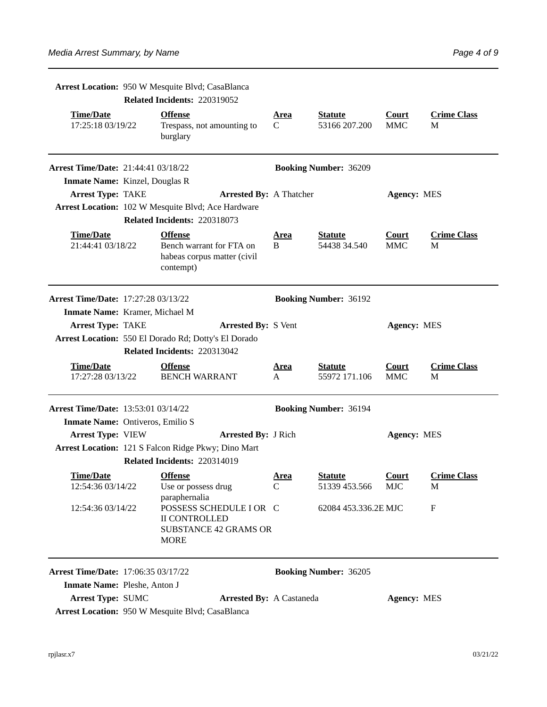Arrest Location: 950 W Mesquite Blvd; CasaBlanca

|                                            | Related Incidents: 220319052                                                            |                            |                                 |                            |                         |
|--------------------------------------------|-----------------------------------------------------------------------------------------|----------------------------|---------------------------------|----------------------------|-------------------------|
| <b>Time/Date</b><br>17:25:18 03/19/22      | <b>Offense</b><br>Trespass, not amounting to<br>burglary                                | <u>Area</u><br>C           | <b>Statute</b><br>53166 207.200 | <b>Court</b><br><b>MMC</b> | <b>Crime Class</b><br>М |
| <b>Arrest Time/Date: 21:44:41 03/18/22</b> |                                                                                         |                            | <b>Booking Number: 36209</b>    |                            |                         |
| Inmate Name: Kinzel, Douglas R             |                                                                                         |                            |                                 |                            |                         |
| <b>Arrest Type: TAKE</b>                   | <b>Arrested By: A Thatcher</b>                                                          |                            |                                 | <b>Agency: MES</b>         |                         |
|                                            | Arrest Location: 102 W Mesquite Blvd; Ace Hardware<br>Related Incidents: 220318073      |                            |                                 |                            |                         |
| <b>Time/Date</b><br>21:44:41 03/18/22      | <b>Offense</b><br>Bench warrant for FTA on<br>habeas corpus matter (civil<br>contempt)  | <u>Area</u><br>$\mathbf B$ | <b>Statute</b><br>54438 34.540  | <b>Court</b><br><b>MMC</b> | <b>Crime Class</b><br>M |
| Arrest Time/Date: 17:27:28 03/13/22        |                                                                                         |                            | <b>Booking Number: 36192</b>    |                            |                         |
| Inmate Name: Kramer, Michael M             |                                                                                         |                            |                                 |                            |                         |
| <b>Arrest Type: TAKE</b>                   | <b>Arrested By: S Vent</b>                                                              |                            |                                 | <b>Agency: MES</b>         |                         |
|                                            | Arrest Location: 550 El Dorado Rd; Dotty's El Dorado<br>Related Incidents: 220313042    |                            |                                 |                            |                         |
| <b>Time/Date</b><br>17:27:28 03/13/22      | <b>Offense</b><br><b>BENCH WARRANT</b>                                                  | <u>Area</u><br>A           | <b>Statute</b><br>55972 171.106 | <b>Court</b><br><b>MMC</b> | <b>Crime Class</b><br>М |
| Arrest Time/Date: 13:53:01 03/14/22        |                                                                                         |                            | <b>Booking Number: 36194</b>    |                            |                         |
| Inmate Name: Ontiveros, Emilio S           |                                                                                         |                            |                                 |                            |                         |
| <b>Arrest Type: VIEW</b>                   | <b>Arrested By: J Rich</b>                                                              |                            |                                 | <b>Agency: MES</b>         |                         |
|                                            | Arrest Location: 121 S Falcon Ridge Pkwy; Dino Mart                                     |                            |                                 |                            |                         |
|                                            | Related Incidents: 220314019                                                            |                            |                                 |                            |                         |
| <b>Time/Date</b><br>12:54:36 03/14/22      | <b>Offense</b><br>Use or possess drug<br>paraphernalia                                  | Area<br>C                  | <b>Statute</b><br>51339 453.566 | Court<br><b>MJC</b>        | <b>Crime Class</b><br>M |
| 12:54:36 03/14/22                          | POSSESS SCHEDULE I OR C<br><b>II CONTROLLED</b><br>SUBSTANCE 42 GRAMS OR<br><b>MORE</b> |                            | 62084 453.336.2E MJC            |                            | F                       |
| <b>Arrest Time/Date: 17:06:35 03/17/22</b> |                                                                                         |                            | <b>Booking Number: 36205</b>    |                            |                         |
| Inmate Name: Pleshe, Anton J               |                                                                                         |                            |                                 |                            |                         |
| <b>Arrest Type: SUMC</b>                   | <b>Arrested By: A Castaneda</b>                                                         |                            |                                 | <b>Agency: MES</b>         |                         |
|                                            | Arrest Location: 950 W Mesquite Blvd; CasaBlanca                                        |                            |                                 |                            |                         |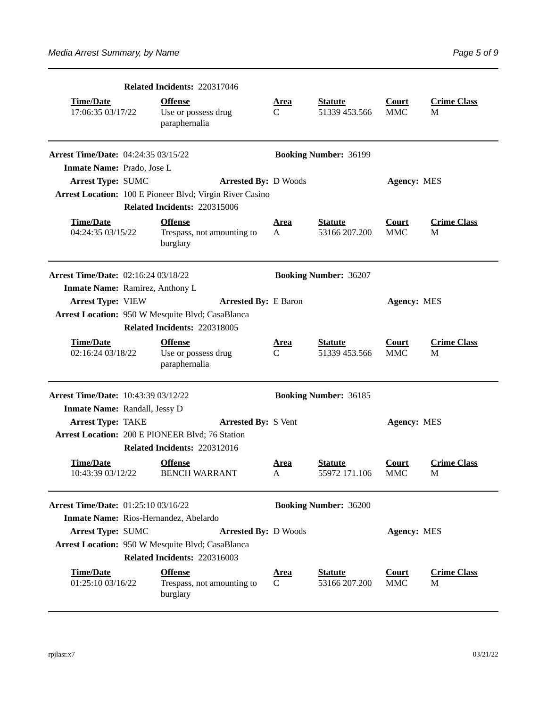|                                            | Related Incidents: 220317046                             |                  |                                 |                            |                         |
|--------------------------------------------|----------------------------------------------------------|------------------|---------------------------------|----------------------------|-------------------------|
| <b>Time/Date</b><br>17:06:35 03/17/22      | <b>Offense</b><br>Use or possess drug<br>paraphernalia   | <u>Area</u><br>C | <b>Statute</b><br>51339 453.566 | <b>Court</b><br><b>MMC</b> | <b>Crime Class</b><br>M |
| <b>Arrest Time/Date: 04:24:35 03/15/22</b> |                                                          |                  | <b>Booking Number: 36199</b>    |                            |                         |
| Inmate Name: Prado, Jose L                 |                                                          |                  |                                 |                            |                         |
| <b>Arrest Type: SUMC</b>                   | <b>Arrested By: D Woods</b>                              |                  |                                 | <b>Agency: MES</b>         |                         |
|                                            | Arrest Location: 100 E Pioneer Blvd; Virgin River Casino |                  |                                 |                            |                         |
|                                            | Related Incidents: 220315006                             |                  |                                 |                            |                         |
| <b>Time/Date</b><br>04:24:35 03/15/22      | <b>Offense</b><br>Trespass, not amounting to<br>burglary | <u>Area</u><br>A | <b>Statute</b><br>53166 207.200 | <b>Court</b><br><b>MMC</b> | <b>Crime Class</b><br>M |
| <b>Arrest Time/Date: 02:16:24 03/18/22</b> |                                                          |                  | <b>Booking Number: 36207</b>    |                            |                         |
| <b>Inmate Name: Ramirez, Anthony L</b>     |                                                          |                  |                                 |                            |                         |
| <b>Arrest Type: VIEW</b>                   | <b>Arrested By: E Baron</b>                              |                  |                                 | <b>Agency: MES</b>         |                         |
|                                            | Arrest Location: 950 W Mesquite Blvd; CasaBlanca         |                  |                                 |                            |                         |
|                                            | Related Incidents: 220318005                             |                  |                                 |                            |                         |
| <b>Time/Date</b><br>02:16:24 03/18/22      | <b>Offense</b><br>Use or possess drug<br>paraphernalia   | <u>Area</u><br>C | <b>Statute</b><br>51339 453.566 | <b>Court</b><br><b>MMC</b> | <b>Crime Class</b><br>M |
| <b>Arrest Time/Date: 10:43:39 03/12/22</b> |                                                          |                  | <b>Booking Number: 36185</b>    |                            |                         |
| Inmate Name: Randall, Jessy D              |                                                          |                  |                                 |                            |                         |
| <b>Arrest Type: TAKE</b>                   | <b>Arrested By: S Vent</b>                               |                  |                                 | <b>Agency: MES</b>         |                         |
|                                            | <b>Arrest Location: 200 E PIONEER Blvd; 76 Station</b>   |                  |                                 |                            |                         |
|                                            | Related Incidents: 220312016                             |                  |                                 |                            |                         |
| <b>Time/Date</b><br>10:43:39 03/12/22      | <b>Offense</b><br><b>BENCH WARRANT</b>                   | Area<br>A        | <b>Statute</b><br>55972 171.106 | Court<br><b>MMC</b>        | <b>Crime Class</b><br>М |
| <b>Arrest Time/Date: 01:25:10 03/16/22</b> |                                                          |                  | <b>Booking Number: 36200</b>    |                            |                         |
|                                            | Inmate Name: Rios-Hernandez, Abelardo                    |                  |                                 |                            |                         |
| <b>Arrest Type: SUMC</b>                   | <b>Arrested By: D Woods</b>                              |                  |                                 | <b>Agency: MES</b>         |                         |
|                                            | Arrest Location: 950 W Mesquite Blvd; CasaBlanca         |                  |                                 |                            |                         |
|                                            | Related Incidents: 220316003                             |                  |                                 |                            |                         |
| <b>Time/Date</b><br>01:25:10 03/16/22      | <b>Offense</b><br>Trespass, not amounting to<br>burglary | <u>Area</u><br>C | <b>Statute</b><br>53166 207.200 | <b>Court</b><br>MMC        | <b>Crime Class</b><br>M |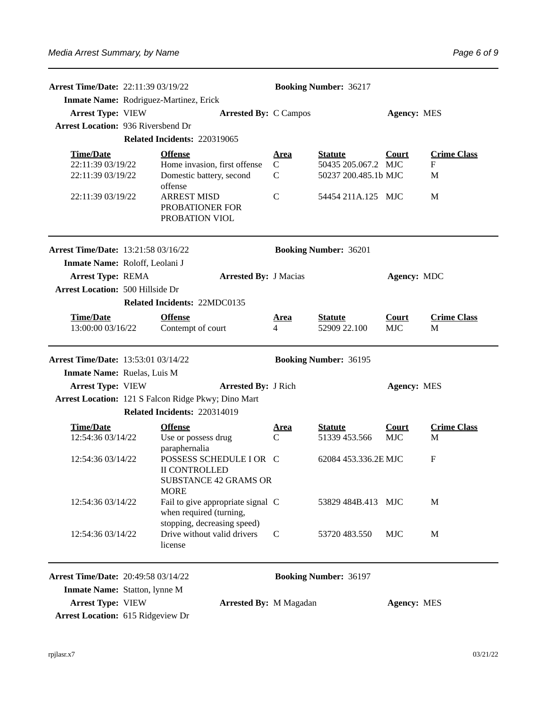| <b>Arrest Time/Date: 22:11:39 03/19/22</b>                                   |                                                                                                          | <b>Booking Number: 36217</b> |                                       |                            |                         |
|------------------------------------------------------------------------------|----------------------------------------------------------------------------------------------------------|------------------------------|---------------------------------------|----------------------------|-------------------------|
|                                                                              | Inmate Name: Rodriguez-Martinez, Erick                                                                   |                              |                                       |                            |                         |
| <b>Arrest Type: VIEW</b>                                                     | <b>Arrested By: C Campos</b>                                                                             |                              |                                       | <b>Agency: MES</b>         |                         |
| <b>Arrest Location: 936 Riversbend Dr</b>                                    |                                                                                                          |                              |                                       |                            |                         |
|                                                                              | Related Incidents: 220319065                                                                             |                              |                                       |                            |                         |
| <b>Time/Date</b><br>22:11:39 03/19/22                                        | <b>Offense</b><br>Home invasion, first offense                                                           | <u>Area</u><br>C             | <b>Statute</b><br>50435 205.067.2 MJC | <b>Court</b>               | <b>Crime Class</b><br>F |
| 22:11:39 03/19/22                                                            | Domestic battery, second<br>offense                                                                      | $\mathsf{C}$                 | 50237 200.485.1b MJC                  |                            | M                       |
| 22:11:39 03/19/22                                                            | <b>ARREST MISD</b><br>PROBATIONER FOR<br>PROBATION VIOL                                                  | C                            | 54454 211A.125 MJC                    |                            | M                       |
| <b>Arrest Time/Date: 13:21:58 03/16/22</b><br>Inmate Name: Roloff, Leolani J |                                                                                                          |                              | <b>Booking Number: 36201</b>          |                            |                         |
| <b>Arrest Type: REMA</b>                                                     | <b>Arrested By: J Macias</b>                                                                             |                              |                                       | Agency: MDC                |                         |
| <b>Arrest Location: 500 Hillside Dr</b>                                      |                                                                                                          |                              |                                       |                            |                         |
|                                                                              | Related Incidents: 22MDC0135                                                                             |                              |                                       |                            |                         |
| <b>Time/Date</b><br>13:00:00 03/16/22                                        | <b>Offense</b><br>Contempt of court                                                                      | <u>Area</u><br>4             | <b>Statute</b><br>52909 22.100        | <b>Court</b><br><b>MJC</b> | <b>Crime Class</b><br>M |
|                                                                              |                                                                                                          |                              |                                       |                            |                         |
| Arrest Time/Date: 13:53:01 03/14/22                                          |                                                                                                          |                              | <b>Booking Number: 36195</b>          |                            |                         |
| Inmate Name: Ruelas, Luis M                                                  |                                                                                                          |                              |                                       |                            |                         |
| <b>Arrest Type: VIEW</b>                                                     | <b>Arrested By: J Rich</b>                                                                               |                              |                                       | <b>Agency: MES</b>         |                         |
|                                                                              | Arrest Location: 121 S Falcon Ridge Pkwy; Dino Mart                                                      |                              |                                       |                            |                         |
|                                                                              | Related Incidents: 220314019                                                                             |                              |                                       |                            |                         |
| <b>Time/Date</b><br>12:54:36 03/14/22                                        | <b>Offense</b><br>Use or possess drug                                                                    | <u>Area</u><br>C             | <b>Statute</b><br>51339 453.566       | Court<br><b>MJC</b>        | <b>Crime Class</b><br>M |
| 12:54:36 03/14/22                                                            | paraphernalia<br>POSSESS SCHEDULE I OR C<br><b>II CONTROLLED</b><br>SUBSTANCE 42 GRAMS OR<br><b>MORE</b> |                              | 62084 453.336.2E MJC                  |                            | $\mathbf{F}$            |
| 12:54:36 03/14/22                                                            | Fail to give appropriate signal C<br>when required (turning,                                             |                              | 53829 484B.413 MJC                    |                            | M                       |
| 12:54:36 03/14/22                                                            | stopping, decreasing speed)<br>Drive without valid drivers<br>license                                    | C                            | 53720 483.550                         | MJC                        | M                       |
| <b>Arrest Time/Date: 20:49:58 03/14/22</b>                                   |                                                                                                          |                              | <b>Booking Number: 36197</b>          |                            |                         |
| Inmate Name: Statton, lynne M<br><b>Arrest Type: VIEW</b>                    | <b>Arrested By: M Magadan</b>                                                                            |                              |                                       | <b>Agency: MES</b>         |                         |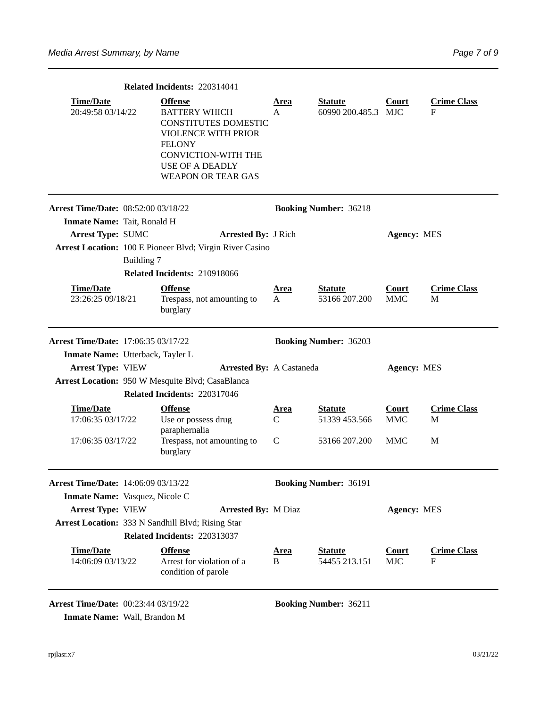|                                            |            | Related Incidents: 220314041                                                                                                                                                                              |                  |                                       |                            |                         |
|--------------------------------------------|------------|-----------------------------------------------------------------------------------------------------------------------------------------------------------------------------------------------------------|------------------|---------------------------------------|----------------------------|-------------------------|
| <b>Time/Date</b><br>20:49:58 03/14/22      |            | <b>Offense</b><br><b>BATTERY WHICH</b><br><b>CONSTITUTES DOMESTIC</b><br><b>VIOLENCE WITH PRIOR</b><br><b>FELONY</b><br><b>CONVICTION-WITH THE</b><br><b>USE OF A DEADLY</b><br><b>WEAPON OR TEAR GAS</b> | Area<br>A        | <b>Statute</b><br>60990 200.485.3 MJC | Court                      | <b>Crime Class</b><br>F |
| <b>Arrest Time/Date: 08:52:00 03/18/22</b> |            |                                                                                                                                                                                                           |                  | <b>Booking Number: 36218</b>          |                            |                         |
| Inmate Name: Tait, Ronald H                |            |                                                                                                                                                                                                           |                  |                                       |                            |                         |
| <b>Arrest Type: SUMC</b>                   |            | <b>Arrested By: J Rich</b>                                                                                                                                                                                |                  |                                       | <b>Agency: MES</b>         |                         |
|                                            |            | Arrest Location: 100 E Pioneer Blvd; Virgin River Casino                                                                                                                                                  |                  |                                       |                            |                         |
|                                            | Building 7 |                                                                                                                                                                                                           |                  |                                       |                            |                         |
|                                            |            | Related Incidents: 210918066                                                                                                                                                                              |                  |                                       |                            |                         |
| <b>Time/Date</b><br>23:26:25 09/18/21      |            | <b>Offense</b><br>Trespass, not amounting to<br>burglary                                                                                                                                                  | <u>Area</u><br>A | <b>Statute</b><br>53166 207.200       | <b>Court</b><br><b>MMC</b> | <b>Crime Class</b><br>M |
| <b>Arrest Time/Date: 17:06:35 03/17/22</b> |            |                                                                                                                                                                                                           |                  | <b>Booking Number: 36203</b>          |                            |                         |
| Inmate Name: Utterback, Tayler L           |            |                                                                                                                                                                                                           |                  |                                       |                            |                         |
| Arrest Type: VIEW                          |            | <b>Arrested By: A Castaneda</b>                                                                                                                                                                           |                  |                                       | <b>Agency: MES</b>         |                         |
|                                            |            | Arrest Location: 950 W Mesquite Blvd; CasaBlanca                                                                                                                                                          |                  |                                       |                            |                         |
|                                            |            | Related Incidents: 220317046                                                                                                                                                                              |                  |                                       |                            |                         |
| <b>Time/Date</b><br>17:06:35 03/17/22      |            | <b>Offense</b><br>Use or possess drug<br>paraphernalia                                                                                                                                                    | <u>Area</u><br>C | <b>Statute</b><br>51339 453.566       | <b>Court</b><br><b>MMC</b> | <b>Crime Class</b><br>М |
| 17:06:35 03/17/22                          |            | Trespass, not amounting to<br>burglary                                                                                                                                                                    | C                | 53166 207.200                         | <b>MMC</b>                 | M                       |
| Arrest Time/Date: 14:06:09 03/13/22        |            |                                                                                                                                                                                                           |                  | <b>Booking Number: 36191</b>          |                            |                         |
| Inmate Name: Vasquez, Nicole C             |            |                                                                                                                                                                                                           |                  |                                       |                            |                         |
| <b>Arrest Type: VIEW</b>                   |            | <b>Arrested By: M Diaz</b>                                                                                                                                                                                |                  |                                       | <b>Agency: MES</b>         |                         |
|                                            |            | Arrest Location: 333 N Sandhill Blvd; Rising Star<br>Related Incidents: 220313037                                                                                                                         |                  |                                       |                            |                         |
| Time/Date                                  |            | <b>Offense</b>                                                                                                                                                                                            |                  |                                       | <b>Court</b>               | <b>Crime Class</b>      |
| 14:06:09 03/13/22                          |            | Arrest for violation of a<br>condition of parole                                                                                                                                                          | <u>Area</u><br>B | <b>Statute</b><br>54455 213.151       | <b>MJC</b>                 | F                       |
|                                            |            |                                                                                                                                                                                                           |                  |                                       |                            |                         |

**Arrest Time/Date:** 00:23:44 03/19/22 **Booking Number:** 36211 **Inmate Name:** Wall, Brandon M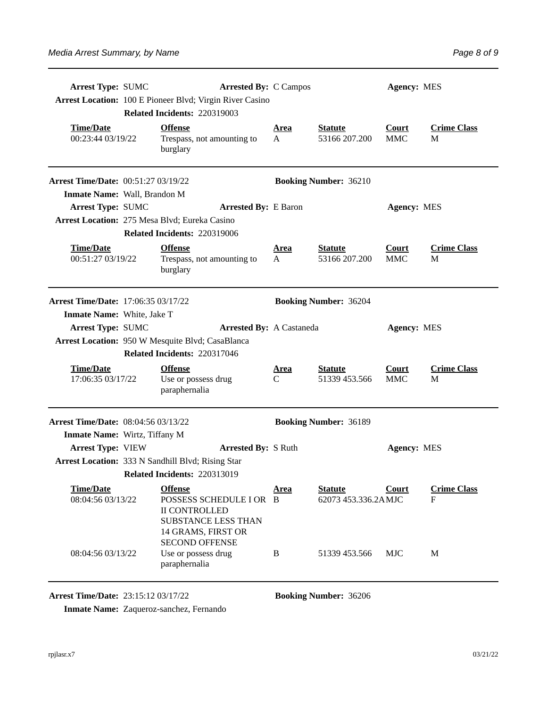| <b>Arrest Type: SUMC</b>                   | <b>Arrested By: C Campos</b><br>Arrest Location: 100 E Pioneer Blvd; Virgin River Casino<br>Related Incidents: 220319003                       |                  |                                       | <b>Agency: MES</b>         |                         |
|--------------------------------------------|------------------------------------------------------------------------------------------------------------------------------------------------|------------------|---------------------------------------|----------------------------|-------------------------|
| <b>Time/Date</b><br>00:23:44 03/19/22      | <b>Offense</b><br>Trespass, not amounting to<br>burglary                                                                                       | <u>Area</u><br>A | <b>Statute</b><br>53166 207.200       | <b>Court</b><br><b>MMC</b> | <b>Crime Class</b><br>M |
| <b>Arrest Time/Date: 00:51:27 03/19/22</b> |                                                                                                                                                |                  | <b>Booking Number: 36210</b>          |                            |                         |
| Inmate Name: Wall, Brandon M               |                                                                                                                                                |                  |                                       |                            |                         |
| <b>Arrest Type: SUMC</b>                   | <b>Arrested By:</b> E Baron                                                                                                                    |                  |                                       | <b>Agency: MES</b>         |                         |
|                                            | Arrest Location: 275 Mesa Blvd; Eureka Casino                                                                                                  |                  |                                       |                            |                         |
|                                            | Related Incidents: 220319006                                                                                                                   |                  |                                       |                            |                         |
| <b>Time/Date</b><br>00:51:27 03/19/22      | <b>Offense</b><br>Trespass, not amounting to<br>burglary                                                                                       | <u>Area</u><br>A | <b>Statute</b><br>53166 207.200       | Court<br><b>MMC</b>        | <b>Crime Class</b><br>M |
| <b>Arrest Time/Date: 17:06:35 03/17/22</b> |                                                                                                                                                |                  | <b>Booking Number: 36204</b>          |                            |                         |
| Inmate Name: White, Jake T                 |                                                                                                                                                |                  |                                       |                            |                         |
| <b>Arrest Type: SUMC</b>                   | <b>Arrested By: A Castaneda</b>                                                                                                                |                  |                                       | <b>Agency: MES</b>         |                         |
|                                            | Arrest Location: 950 W Mesquite Blvd; CasaBlanca                                                                                               |                  |                                       |                            |                         |
|                                            | Related Incidents: 220317046                                                                                                                   |                  |                                       |                            |                         |
| <b>Time/Date</b><br>17:06:35 03/17/22      | <b>Offense</b><br>Use or possess drug<br>paraphernalia                                                                                         | <u>Area</u><br>C | <b>Statute</b><br>51339 453.566       | <b>Court</b><br><b>MMC</b> | <b>Crime Class</b><br>M |
| Arrest Time/Date: 08:04:56 03/13/22        |                                                                                                                                                |                  | <b>Booking Number: 36189</b>          |                            |                         |
| Inmate Name: Wirtz, Tiffany M              |                                                                                                                                                |                  |                                       |                            |                         |
| <b>Arrest Type: VIEW</b>                   | <b>Arrested By: S Ruth</b>                                                                                                                     |                  |                                       | <b>Agency: MES</b>         |                         |
|                                            | Arrest Location: 333 N Sandhill Blvd; Rising Star                                                                                              |                  |                                       |                            |                         |
|                                            | <b>Related Incidents: 220313019</b>                                                                                                            |                  |                                       |                            |                         |
| <b>Time/Date</b><br>08:04:56 03/13/22      | <b>Offense</b><br>POSSESS SCHEDULE I OR B<br><b>II CONTROLLED</b><br><b>SUBSTANCE LESS THAN</b><br>14 GRAMS, FIRST OR<br><b>SECOND OFFENSE</b> | <u>Area</u>      | <b>Statute</b><br>62073 453.336.2AMJC | <b>Court</b>               | <b>Crime Class</b><br>F |
| 08:04:56 03/13/22                          | Use or possess drug<br>paraphernalia                                                                                                           | B                | 51339 453.566                         | <b>MJC</b>                 | M                       |

**Arrest Time/Date:** 23:15:12 03/17/22 **Booking Number:** 36206

**Inmate Name:** Zaqueroz-sanchez, Fernando